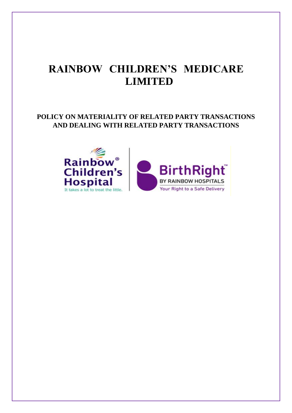# **RAINBOW CHILDREN'S MEDICARE LIMITED**

# **POLICY ON MATERIALITY OF RELATED PARTY TRANSACTIONS AND DEALING WITH RELATED PARTY TRANSACTIONS**

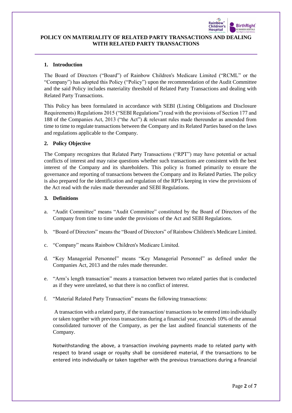

# **1. Introduction**

The Board of Directors ("Board") of Rainbow Children's Medicare Limited ("RCML" or the "Company") has adopted this Policy ("Policy") upon the recommendation of the Audit Committee and the said Policy includes materiality threshold of Related Party Transactions and dealing with Related Party Transactions.

This Policy has been formulated in accordance with SEBI (Listing Obligations and Disclosure Requirements) Regulations 2015 ("SEBI Regulations") read with the provisions of Section 177 and 188 of the Companies Act, 2013 ("the Act") & relevant rules made thereunder as amended from time to time to regulate transactions between the Company and its Related Parties based on the laws and regulations applicable to the Company.

# **2. Policy Objective**

The Company recognizes that Related Party Transactions ("RPT") may have potential or actual conflicts of interest and may raise questions whether such transactions are consistent with the best interest of the Company and its shareholders. This policy is framed primarily to ensure the governance and reporting of transactions between the Company and its Related Parties. The policy is also prepared for the identification and regulation of the RPTs keeping in view the provisions of the Act read with the rules made thereunder and SEBI Regulations.

# **3. Definitions**

- a. "Audit Committee" means "Audit Committee" constituted by the Board of Directors of the Company from time to time under the provisions of the Act and SEBI Regulations.
- b. "Board of Directors" means the "Board of Directors" of Rainbow Children's Medicare Limited.
- c. "Company" means Rainbow Children's Medicare Limited.
- d. "Key Managerial Personnel" means "Key Managerial Personnel" as defined under the Companies Act, 2013 and the rules made thereunder.
- e. "Arm's length transaction" means a transaction between two related parties that is conducted as if they were unrelated, so that there is no conflict of interest.
- f. "Material Related Party Transaction" means the following transactions:

A transaction with a related party, if the transaction/ transactions to be entered into individually or taken together with previous transactions during a financial year, exceeds 10% of the annual consolidated turnover of the Company, as per the last audited financial statements of the Company.

Notwithstanding the above, a transaction involving payments made to related party with respect to brand usage or royalty shall be considered material, if the transactions to be entered into individually or taken together with the previous transactions during a financial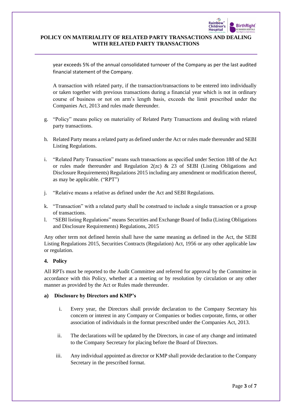

year exceeds 5% of the annual consolidated turnover of the Company as per the last audited financial statement of the Company.

A transaction with related party, if the transaction/transactions to be entered into individually or taken together with previous transactions during a financial year which is not in ordinary course of business or not on arm's length basis, exceeds the limit prescribed under the Companies Act, 2013 and rules made thereunder.

- g. "Policy" means policy on materiality of Related Party Transactions and dealing with related party transactions.
- h. Related Party means a related party as defined under the Act or rules made thereunder and SEBI Listing Regulations.
- i. "Related Party Transaction" means such transactions as specified under Section 188 of the Act or rules made thereunder and Regulation  $2(zc)$  & 23 of SEBI (Listing Obligations and Disclosure Requirements) Regulations 2015 including any amendment or modification thereof, as may be applicable. ("RPT")
- j. "Relative means a relative as defined under the Act and SEBI Regulations.
- k. "Transaction" with a related party shall be construed to include a single transaction or a group of transactions.
- l. "SEBI listing Regulations" means Securities and Exchange Board of India (Listing Obligations and Disclosure Requirements) Regulations, 2015

Any other term not defined herein shall have the same meaning as defined in the Act, the SEBI Listing Regulations 2015, Securities Contracts (Regulation) Act, 1956 or any other applicable law or regulation.

# **4. Policy**

All RPTs must be reported to the Audit Committee and referred for approval by the Committee in accordance with this Policy, whether at a meeting or by resolution by circulation or any other manner as provided by the Act or Rules made thereunder.

# **a) Disclosure by Directors and KMP's**

- i. Every year, the Directors shall provide declaration to the Company Secretary his concern or interest in any Company or Companies or bodies corporate, firms, or other association of individuals in the format prescribed under the Companies Act, 2013.
- ii. The declarations will be updated by the Directors, in case of any change and intimated to the Company Secretary for placing before the Board of Directors.
- iii. Any individual appointed as director or KMP shall provide declaration to the Company Secretary in the prescribed format.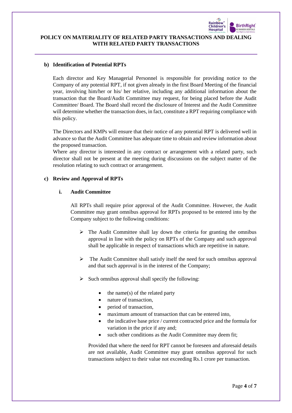

# **b) Identification of Potential RPTs**

Each director and Key Managerial Personnel is responsible for providing notice to the Company of any potential RPT, if not given already in the first Board Meeting of the financial year, involving him/her or his/ her relative, including any additional information about the transaction that the Board/Audit Committee may request, for being placed before the Audit Committee/ Board. The Board shall record the disclosure of Interest and the Audit Committee will determine whether the transaction does, in fact, constitute a RPT requiring compliance with this policy.

The Directors and KMPs will ensure that their notice of any potential RPT is delivered well in advance so that the Audit Committee has adequate time to obtain and review information about the proposed transaction.

Where any director is interested in any contract or arrangement with a related party, such director shall not be present at the meeting during discussions on the subject matter of the resolution relating to such contract or arrangement.

#### **c) Review and Approval of RPTs**

#### **i. Audit Committee**

All RPTs shall require prior approval of the Audit Committee. However, the Audit Committee may grant omnibus approval for RPTs proposed to be entered into by the Company subject to the following conditions:

- $\triangleright$  The Audit Committee shall lay down the criteria for granting the omnibus approval in line with the policy on RPTs of the Company and such approval shall be applicable in respect of transactions which are repetitive in nature.
- $\triangleright$  The Audit Committee shall satisfy itself the need for such omnibus approval and that such approval is in the interest of the Company;
- $\triangleright$  Such omnibus approval shall specify the following:
	- the name(s) of the related party
	- nature of transaction.
	- period of transaction,
	- maximum amount of transaction that can be entered into,
	- the indicative base price / current contracted price and the formula for variation in the price if any and;
	- such other conditions as the Audit Committee may deem fit;

Provided that where the need for RPT cannot be foreseen and aforesaid details are not available, Audit Committee may grant omnibus approval for such transactions subject to their value not exceeding Rs.1 crore per transaction.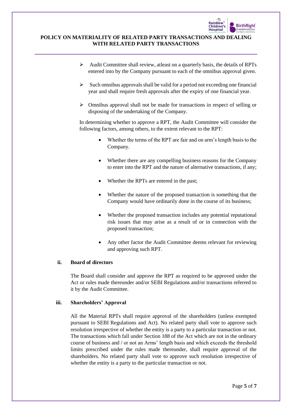

- $\triangleright$  Audit Committee shall review, at least on a quarterly basis, the details of RPTs entered into by the Company pursuant to each of the omnibus approval given.
- $\triangleright$  Such omnibus approvals shall be valid for a period not exceeding one financial year and shall require fresh approvals after the expiry of one financial year.
- ➢ Omnibus approval shall not be made for transactions in respect of selling or disposing of the undertaking of the Company.

In determining whether to approve a RPT, the Audit Committee will consider the following factors, among others, to the extent relevant to the RPT:

- Whether the terms of the RPT are fair and on arm's length basis to the Company.
- Whether there are any compelling business reasons for the Company to enter into the RPT and the nature of alternative transactions, if any;
- Whether the RPTs are entered in the past;
- Whether the nature of the proposed transaction is something that the Company would have ordinarily done in the course of its business;
- Whether the proposed transaction includes any potential reputational risk issues that may arise as a result of or in connection with the proposed transaction;
- Any other factor the Audit Committee deems relevant for reviewing and approving such RPT.

# **ii. Board of directors**

The Board shall consider and approve the RPT as required to be approved under the Act or rules made thereunder and/or SEBI Regulations and/or transactions referred to it by the Audit Committee.

#### **iii. Shareholders' Approval**

All the Material RPTs shall require approval of the shareholders (unless exempted pursuant to SEBI Regulations and Act). No related party shall vote to approve such resolution irrespective of whether the entity is a party to a particular transaction or not. The transactions which fall under Section 188 of the Act which are not in the ordinary course of business and / or not an Arms' length basis and which exceeds the threshold limits prescribed under the rules made thereunder, shall require approval of the shareholders. No related party shall vote to approve such resolution irrespective of whether the entity is a party to the particular transaction or not.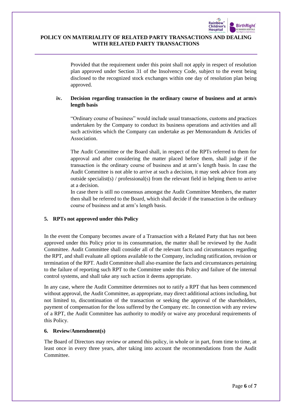

Provided that the requirement under this point shall not apply in respect of resolution plan approved under Section 31 of the Insolvency Code, subject to the event being disclosed to the recognized stock exchanges within one day of resolution plan being approved.

# **iv. Decision regarding transaction in the ordinary course of business and at arm/s length basis**

"Ordinary course of business" would include usual transactions, customs and practices undertaken by the Company to conduct its business operations and activities and all such activities which the Company can undertake as per Memorandum & Articles of **Association** 

The Audit Committee or the Board shall, in respect of the RPTs referred to them for approval and after considering the matter placed before them, shall judge if the transaction is the ordinary course of business and at arm's length basis. In case the Audit Committee is not able to arrive at such a decision, it may seek advice from any outside specialist(s) / professional(s) from the relevant field in helping them to arrive at a decision.

In case there is still no consensus amongst the Audit Committee Members, the matter then shall be referred to the Board, which shall decide if the transaction is the ordinary course of business and at arm's length basis.

# **5. RPTs not approved under this Policy**

In the event the Company becomes aware of a Transaction with a Related Party that has not been approved under this Policy prior to its consummation, the matter shall be reviewed by the Audit Committee. Audit Committee shall consider all of the relevant facts and circumstances regarding the RPT, and shall evaluate all options available to the Company, including ratification, revision or termination of the RPT. Audit Committee shall also examine the facts and circumstances pertaining to the failure of reporting such RPT to the Committee under this Policy and failure of the internal control systems, and shall take any such action it deems appropriate.

In any case, where the Audit Committee determines not to ratify a RPT that has been commenced without approval, the Audit Committee, as appropriate, may direct additional actions including, but not limited to, discontinuation of the transaction or seeking the approval of the shareholders, payment of compensation for the loss suffered by the Company etc. In connection with any review of a RPT, the Audit Committee has authority to modify or waive any procedural requirements of this Policy.

# **6. Review/Amendment(s)**

The Board of Directors may review or amend this policy, in whole or in part, from time to time, at least once in every three years, after taking into account the recommendations from the Audit Committee.